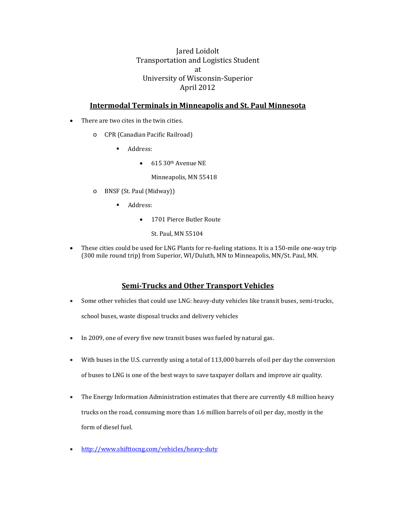# Jared Loidolt Transportation and Logistics Student at University of Wisconsin‐Superior April 2012

#### **Intermodal Terminals in Minneapolis and St. Paul Minnesota**

- There are two cites in the twin cities.
	- o CPR (Canadian Pacific Railroad)
		- **Address:** 
			- $\bullet$  615 30<sup>th</sup> Avenue NE

Minneapolis, MN 55418

- o BNSF (St. Paul (Midway))
	- **Address:** 
		- 1701 Pierce Butler Route
			- St. Paul, MN 55104
- These cities could be used for LNG Plants for re-fueling stations. It is a 150-mile one-way trip (300 mile round trip) from Superior, WI/Duluth, MN to Minneapolis, MN/St. Paul, MN.

#### **Semi‐Trucks and Other Transport Vehicles**

- Some other vehicles that could use LNG: heavy-duty vehicles like transit buses, semi-trucks, school buses, waste disposal trucks and delivery vehicles
- In 2009, one of every five new transit buses was fueled by natural gas.
- With buses in the U.S. currently using a total of 113,000 barrels of oil per day the conversion of buses to LNG is one of the best ways to save taxpayer dollars and improve air quality.
- The Energy Information Administration estimates that there are currently 4.8 million heavy trucks on the road, consuming more than 1.6 million barrels of oil per day, mostly in the form of diesel fuel.
- http://www.shifttocng.com/vehicles/heavy‐duty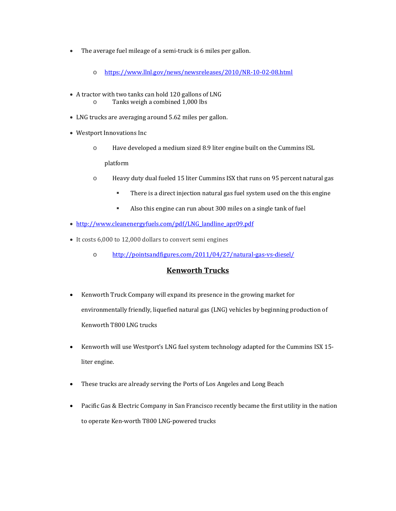- $\bullet$  The average fuel mileage of a semi-truck is 6 miles per gallon.
	- o https://www.llnl.gov/news/newsreleases/2010/NR‐10‐02‐08.html
- A tractor with two tanks can hold 120 gallons of LNG o Tanks weigh a combined 1,000 lbs
- LNG trucks are averaging around 5.62 miles per gallon.
- Westport Innovations Inc
	- $\circ$  Have developed a medium sized 8.9 liter engine built on the Cummins ISL platform
	- $\circ$  Heavy duty dual fueled 15 liter Cummins ISX that runs on 95 percent natural gas
		- There is a direct injection natural gas fuel system used on the this engine
		- Also this engine can run about 300 miles on a single tank of fuel
- http://www.cleanenergyfuels.com/pdf/LNG\_landline\_apr09.pdf
- It costs 6,000 to 12,000 dollars to convert semi engines
	- o http://pointsandfigures.com/2011/04/27/natural‐gas‐vs‐diesel/

#### **Kenworth Trucks**

- Kenworth Truck Company will expand its presence in the growing market for environmentally friendly, liquefied natural gas (LNG) vehicles by beginning production of Kenworth T800 LNG trucks
- Kenworth will use Westport's LNG fuel system technology adapted for the Cummins ISX 15liter engine.
- These trucks are already serving the Ports of Los Angeles and Long Beach
- Pacific Gas & Electric Company in San Francisco recently became the first utility in the nation to operate Ken-worth T800 LNG-powered trucks